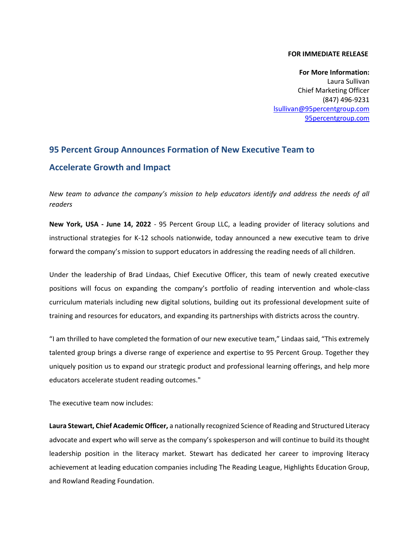## **FOR IMMEDIATE RELEASE**

**For More Information:** Laura Sullivan Chief Marketing Officer (847) 496-9231 [lsullivan@95percentgroup.com](mailto:lsullivan@95percentgroup.com) [95percentgroup.com](http://www.95percentgroup.com/)

## **95 Percent Group Announces Formation of New Executive Team to Accelerate Growth and Impact**

*New team to advance the company's mission to help educators identify and address the needs of all readers* 

**New York, USA - June 14, 2022** - 95 Percent Group LLC, a leading provider of literacy solutions and instructional strategies for K-12 schools nationwide, today announced a new executive team to drive forward the company's mission to support educators in addressing the reading needs of all children.

Under the leadership of Brad Lindaas, Chief Executive Officer, this team of newly created executive positions will focus on expanding the company's portfolio of reading intervention and whole-class curriculum materials including new digital solutions, building out its professional development suite of training and resources for educators, and expanding its partnerships with districts across the country.

"I am thrilled to have completed the formation of our new executive team," Lindaas said, "This extremely talented group brings a diverse range of experience and expertise to 95 Percent Group. Together they uniquely position us to expand our strategic product and professional learning offerings, and help more educators accelerate student reading outcomes."

The executive team now includes:

**Laura Stewart, Chief Academic Officer,** a nationally recognized Science of Reading and Structured Literacy advocate and expert who will serve as the company's spokesperson and will continue to build its thought leadership position in the literacy market. Stewart has dedicated her career to improving literacy achievement at leading education companies including The Reading League, Highlights Education Group, and Rowland Reading Foundation.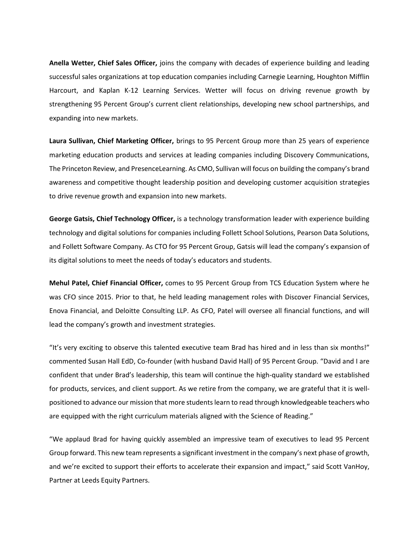**Anella Wetter, Chief Sales Officer,** joins the company with decades of experience building and leading successful sales organizations at top education companies including Carnegie Learning, Houghton Mifflin Harcourt, and Kaplan K-12 Learning Services. Wetter will focus on driving revenue growth by strengthening 95 Percent Group's current client relationships, developing new school partnerships, and expanding into new markets.

**Laura Sullivan, Chief Marketing Officer,** brings to 95 Percent Group more than 25 years of experience marketing education products and services at leading companies including Discovery Communications, The Princeton Review, and PresenceLearning. As CMO, Sullivan will focus on building the company's brand awareness and competitive thought leadership position and developing customer acquisition strategies to drive revenue growth and expansion into new markets.

**George Gatsis, Chief Technology Officer,** is a technology transformation leader with experience building technology and digital solutions for companies including Follett School Solutions, Pearson Data Solutions, and Follett Software Company. As CTO for 95 Percent Group, Gatsis will lead the company's expansion of its digital solutions to meet the needs of today's educators and students.

**Mehul Patel, Chief Financial Officer,** comes to 95 Percent Group from TCS Education System where he was CFO since 2015. Prior to that, he held leading management roles with Discover Financial Services, Enova Financial, and Deloitte Consulting LLP. As CFO, Patel will oversee all financial functions, and will lead the company's growth and investment strategies.

"It's very exciting to observe this talented executive team Brad has hired and in less than six months!" commented Susan Hall EdD, Co-founder (with husband David Hall) of 95 Percent Group. "David and I are confident that under Brad's leadership, this team will continue the high-quality standard we established for products, services, and client support. As we retire from the company, we are grateful that it is wellpositioned to advance our mission that more students learn to read through knowledgeable teachers who are equipped with the right curriculum materials aligned with the Science of Reading."

"We applaud Brad for having quickly assembled an impressive team of executives to lead 95 Percent Group forward. This new team represents a significant investment in the company's next phase of growth, and we're excited to support their efforts to accelerate their expansion and impact," said Scott VanHoy, Partner at Leeds Equity Partners.